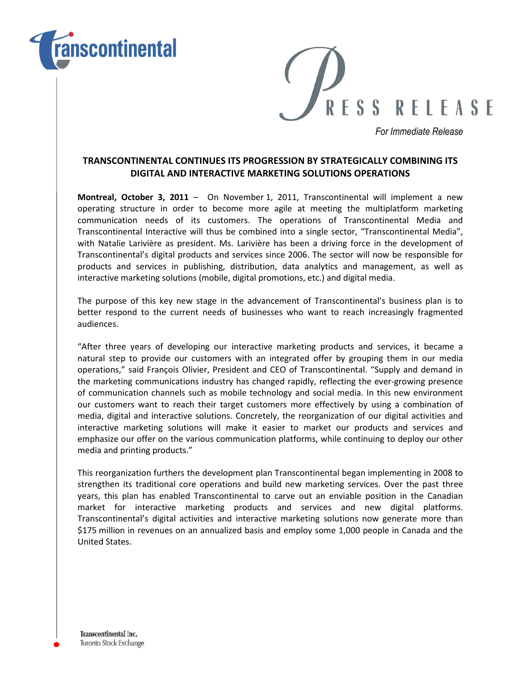



For Immediate Release

## TRANSCONTINENTAL CONTINUES ITS PROGRESSION BY STRATEGICALLY COMBINING ITS DIGITAL AND INTERACTIVE MARKETING SOLUTIONS OPERATIONS

Montreal, October 3, 2011 – On November 1, 2011, Transcontinental will implement a new operating structure in order to become more agile at meeting the multiplatform marketing communication needs of its customers. The operations of Transcontinental Media and Transcontinental Interactive will thus be combined into a single sector, "Transcontinental Media", with Natalie Larivière as president. Ms. Larivière has been a driving force in the development of Transcontinental's digital products and services since 2006. The sector will now be responsible for products and services in publishing, distribution, data analytics and management, as well as interactive marketing solutions (mobile, digital promotions, etc.) and digital media.

The purpose of this key new stage in the advancement of Transcontinental's business plan is to better respond to the current needs of businesses who want to reach increasingly fragmented audiences.

"After three years of developing our interactive marketing products and services, it became a natural step to provide our customers with an integrated offer by grouping them in our media operations," said François Olivier, President and CEO of Transcontinental. "Supply and demand in the marketing communications industry has changed rapidly, reflecting the ever-growing presence of communication channels such as mobile technology and social media. In this new environment our customers want to reach their target customers more effectively by using a combination of media, digital and interactive solutions. Concretely, the reorganization of our digital activities and interactive marketing solutions will make it easier to market our products and services and emphasize our offer on the various communication platforms, while continuing to deploy our other media and printing products."

This reorganization furthers the development plan Transcontinental began implementing in 2008 to strengthen its traditional core operations and build new marketing services. Over the past three years, this plan has enabled Transcontinental to carve out an enviable position in the Canadian market for interactive marketing products and services and new digital platforms. Transcontinental's digital activities and interactive marketing solutions now generate more than \$175 million in revenues on an annualized basis and employ some 1,000 people in Canada and the United States.